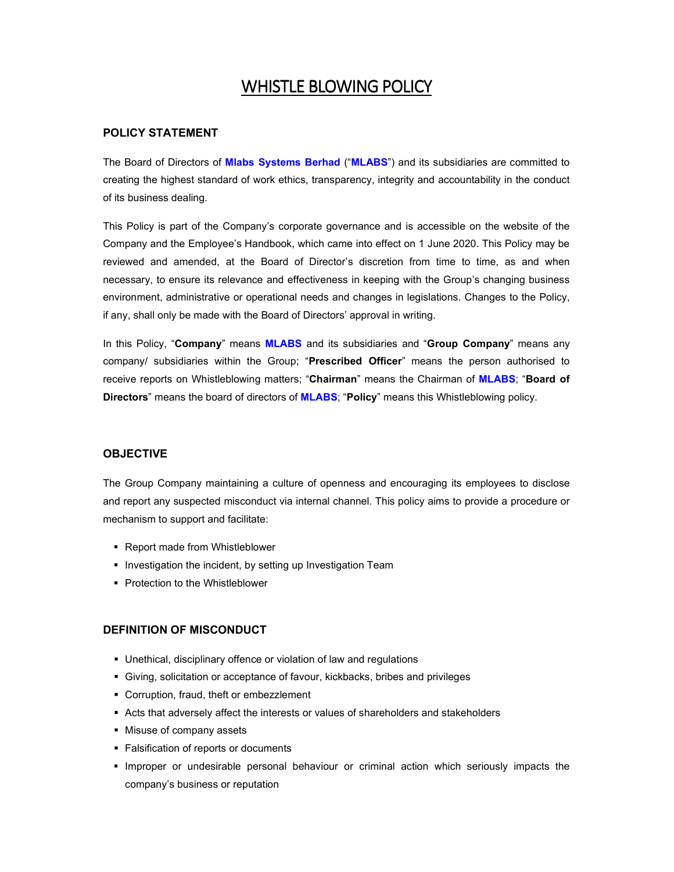# WHISTLE BLOWING POLICY

#### **POLICY STATEMENT**

The Board of Directors of **Mlabs Systems Berhad** ("**MLABS**") and its subsidiaries are committed to creating the highest standard of work ethics, transparency, integrity and accountability in the conduct of its business dealing.

This Policy is part of the Company's corporate governance and is accessible on the website of the Company and the Employee's Handbook, which came into effect on 1 June 2020. This Policy may be reviewed and amended, at the Board of Director's discretion from time to time, as and when necessary, to ensure its relevance and effectiveness in keeping with the Group's changing business environment, administrative or operational needs and changes in legislations. Changes to the Policy, if any, shall only be made with the Board of Directors' approval in writing.

In this Policy, "**Company**" means **MLABS** and its subsidiaries and "**Group Company**" means any company/ subsidiaries within the Group; "**Prescribed Officer**" means the person authorised to receive reports on Whistleblowing matters; "**Chairman**" means the Chairman of **MLABS**; "**Board of Directors**" means the board of directors of **MLABS**; "**Policy**" means this Whistleblowing policy.

#### **OBJECTIVE**

The Group Company maintaining a culture of openness and encouraging its employees to disclose and report any suspected misconduct via internal channel. This policy aims to provide a procedure or mechanism to support and facilitate:

- Report made from Whistleblower
- **Investigation the incident, by setting up Investigation Team**
- **Protection to the Whistleblower**

#### **DEFINITION OF MISCONDUCT**

- Unethical, disciplinary offence or violation of law and regulations
- Giving, solicitation or acceptance of favour, kickbacks, bribes and privileges
- Corruption, fraud, theft or embezzlement
- Acts that adversely affect the interests or values of shareholders and stakeholders
- **Misuse of company assets**
- **Falsification of reports or documents**
- **Improper or undesirable personal behaviour or criminal action which seriously impacts the** company's business or reputation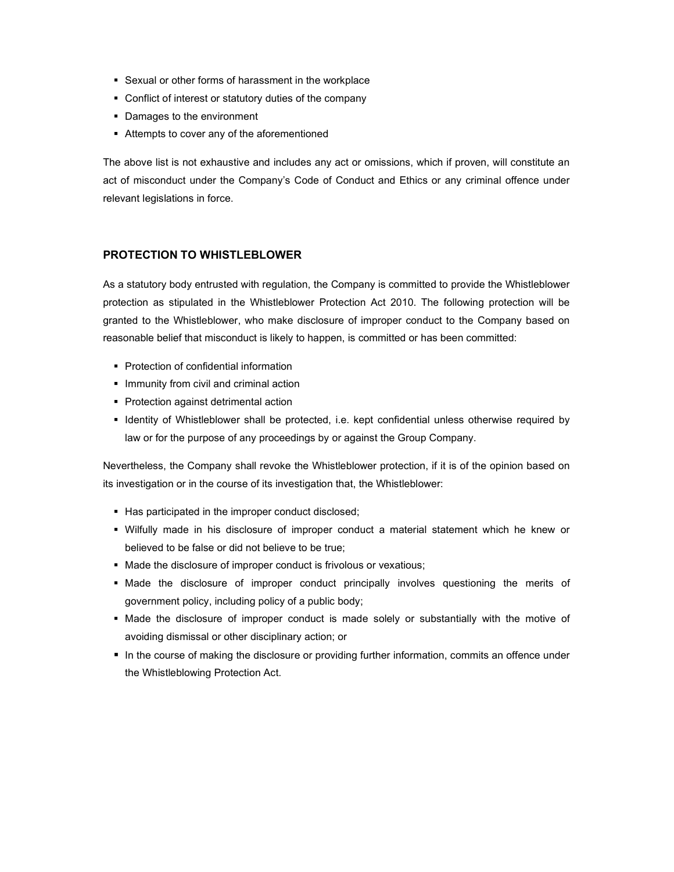- Sexual or other forms of harassment in the workplace
- Conflict of interest or statutory duties of the company
- Damages to the environment
- Attempts to cover any of the aforementioned

The above list is not exhaustive and includes any act or omissions, which if proven, will constitute an act of misconduct under the Company's Code of Conduct and Ethics or any criminal offence under relevant legislations in force.

#### **PROTECTION TO WHISTLEBLOWER**

As a statutory body entrusted with regulation, the Company is committed to provide the Whistleblower protection as stipulated in the Whistleblower Protection Act 2010. The following protection will be granted to the Whistleblower, who make disclosure of improper conduct to the Company based on reasonable belief that misconduct is likely to happen, is committed or has been committed:

- Protection of confidential information
- **Immunity from civil and criminal action**
- **Protection against detrimental action**
- Identity of Whistleblower shall be protected, i.e. kept confidential unless otherwise required by law or for the purpose of any proceedings by or against the Group Company.

Nevertheless, the Company shall revoke the Whistleblower protection, if it is of the opinion based on its investigation or in the course of its investigation that, the Whistleblower:

- Has participated in the improper conduct disclosed;
- Wilfully made in his disclosure of improper conduct a material statement which he knew or believed to be false or did not believe to be true;
- Made the disclosure of improper conduct is frivolous or vexatious;
- Made the disclosure of improper conduct principally involves questioning the merits of government policy, including policy of a public body;
- Made the disclosure of improper conduct is made solely or substantially with the motive of avoiding dismissal or other disciplinary action; or
- In the course of making the disclosure or providing further information, commits an offence under the Whistleblowing Protection Act.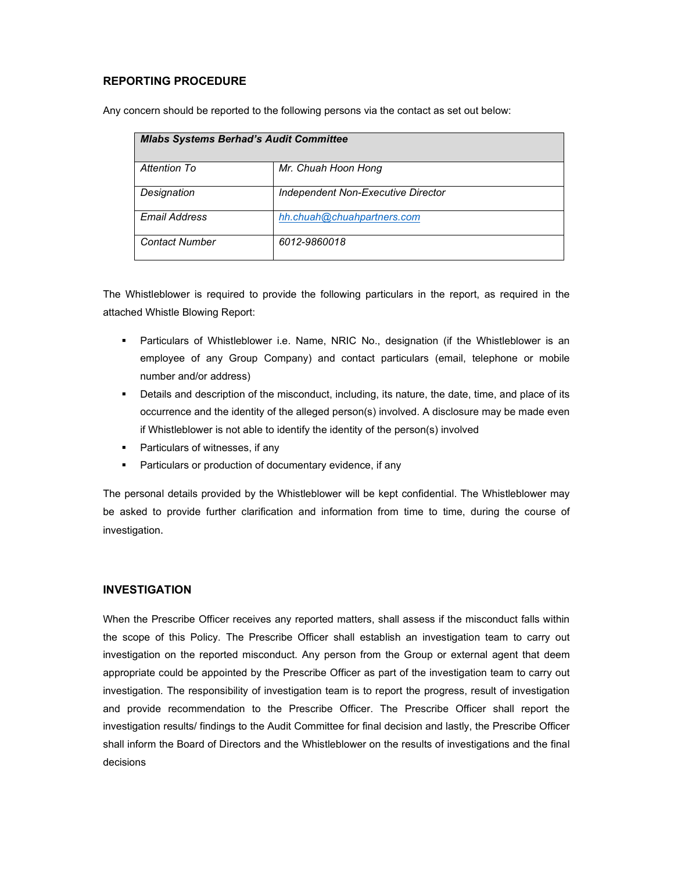#### **REPORTING PROCEDURE**

Any concern should be reported to the following persons via the contact as set out below:

| <b>Mlabs Systems Berhad's Audit Committee</b> |                                    |  |
|-----------------------------------------------|------------------------------------|--|
| Attention To                                  | Mr. Chuah Hoon Hong                |  |
| Designation                                   | Independent Non-Executive Director |  |
| Email Address                                 | hh.chuah@chuahpartners.com         |  |
| <b>Contact Number</b>                         | 6012-9860018                       |  |

The Whistleblower is required to provide the following particulars in the report, as required in the attached Whistle Blowing Report:

- **Particulars of Whistleblower i.e. Name, NRIC No., designation (if the Whistleblower is an** employee of any Group Company) and contact particulars (email, telephone or mobile number and/or address)
- Details and description of the misconduct, including, its nature, the date, time, and place of its occurrence and the identity of the alleged person(s) involved. A disclosure may be made even if Whistleblower is not able to identify the identity of the person(s) involved
- **Particulars of witnesses, if any**
- **Particulars or production of documentary evidence, if any**

The personal details provided by the Whistleblower will be kept confidential. The Whistleblower may be asked to provide further clarification and information from time to time, during the course of investigation.

#### **INVESTIGATION**

When the Prescribe Officer receives any reported matters, shall assess if the misconduct falls within the scope of this Policy. The Prescribe Officer shall establish an investigation team to carry out investigation on the reported misconduct. Any person from the Group or external agent that deem appropriate could be appointed by the Prescribe Officer as part of the investigation team to carry out investigation. The responsibility of investigation team is to report the progress, result of investigation and provide recommendation to the Prescribe Officer. The Prescribe Officer shall report the investigation results/ findings to the Audit Committee for final decision and lastly, the Prescribe Officer shall inform the Board of Directors and the Whistleblower on the results of investigations and the final decisions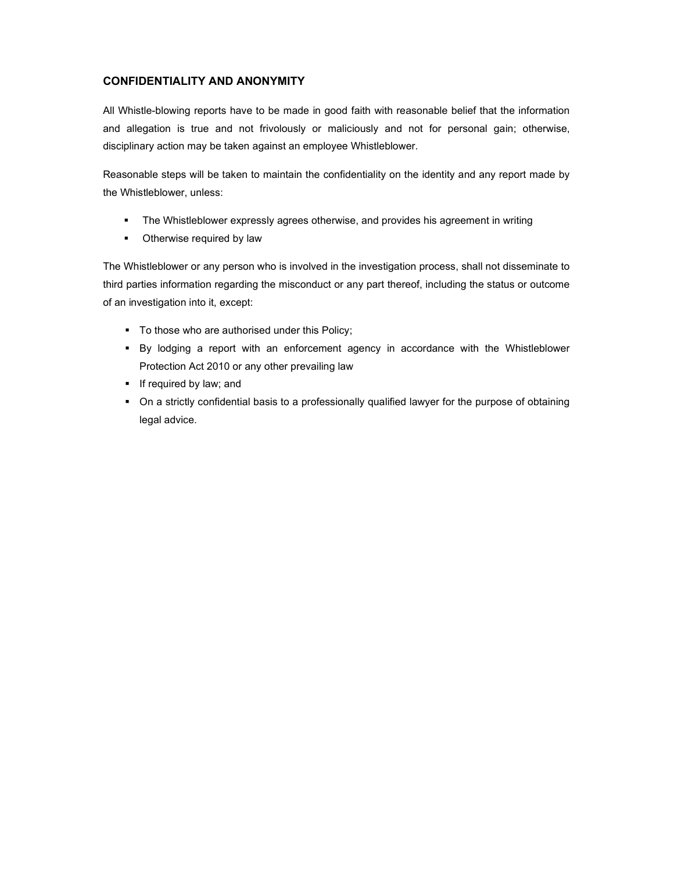### **CONFIDENTIALITY AND ANONYMITY**

All Whistle-blowing reports have to be made in good faith with reasonable belief that the information and allegation is true and not frivolously or maliciously and not for personal gain; otherwise, disciplinary action may be taken against an employee Whistleblower.

Reasonable steps will be taken to maintain the confidentiality on the identity and any report made by the Whistleblower, unless:

- The Whistleblower expressly agrees otherwise, and provides his agreement in writing
- Otherwise required by law

The Whistleblower or any person who is involved in the investigation process, shall not disseminate to third parties information regarding the misconduct or any part thereof, including the status or outcome of an investigation into it, except:

- **To those who are authorised under this Policy;**
- By lodging a report with an enforcement agency in accordance with the Whistleblower Protection Act 2010 or any other prevailing law
- $\blacksquare$  If required by law; and
- On a strictly confidential basis to a professionally qualified lawyer for the purpose of obtaining legal advice.